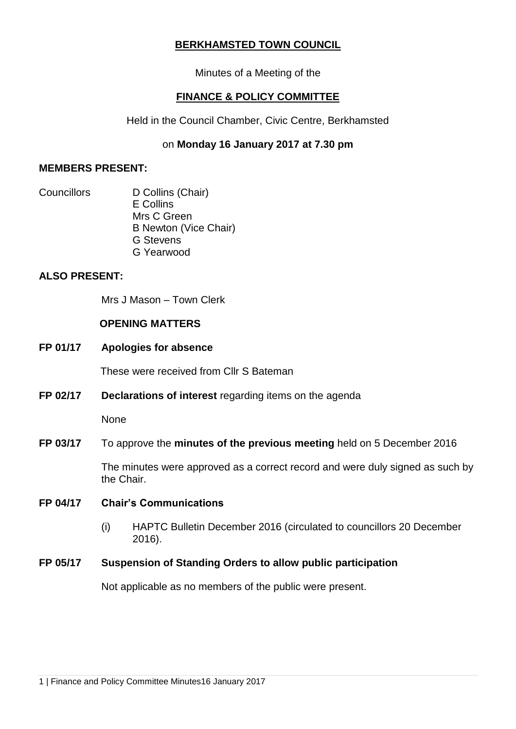# **BERKHAMSTED TOWN COUNCIL**

Minutes of a Meeting of the

# **FINANCE & POLICY COMMITTEE**

Held in the Council Chamber, Civic Centre, Berkhamsted

# on **Monday 16 January 2017 at 7.30 pm**

### **MEMBERS PRESENT:**

Councillors D Collins (Chair) E Collins Mrs C Green B Newton (Vice Chair) G Stevens G Yearwood

# **ALSO PRESENT:**

Mrs J Mason – Town Clerk

## **OPENING MATTERS**

**FP 01/17 Apologies for absence**

These were received from Cllr S Bateman

**FP 02/17 Declarations of interest** regarding items on the agenda

None

## **FP 03/17** To approve the **minutes of the previous meeting** held on 5 December 2016

The minutes were approved as a correct record and were duly signed as such by the Chair.

## **FP 04/17 Chair's Communications**

(i) HAPTC Bulletin December 2016 (circulated to councillors 20 December 2016).

## **FP 05/17 Suspension of Standing Orders to allow public participation**

Not applicable as no members of the public were present.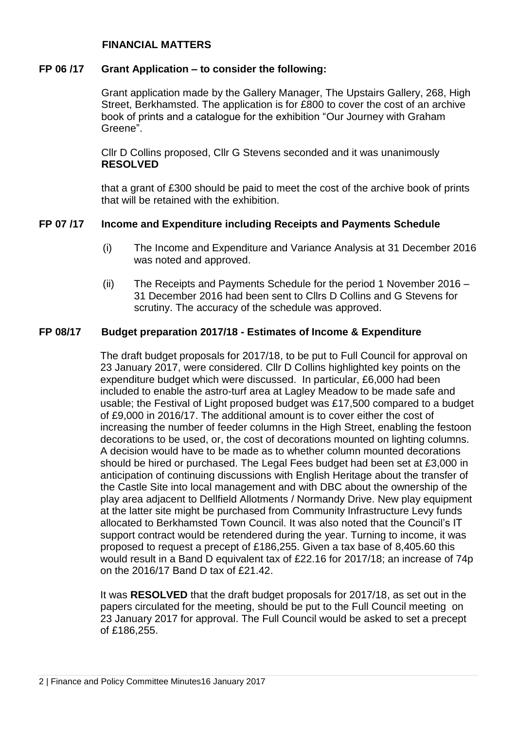## **FINANCIAL MATTERS**

#### **FP 06 /17 Grant Application – to consider the following:**

Grant application made by the Gallery Manager, The Upstairs Gallery, 268, High Street, Berkhamsted. The application is for £800 to cover the cost of an archive book of prints and a catalogue for the exhibition "Our Journey with Graham Greene".

Cllr D Collins proposed, Cllr G Stevens seconded and it was unanimously **RESOLVED**

that a grant of £300 should be paid to meet the cost of the archive book of prints that will be retained with the exhibition.

#### **FP 07 /17 Income and Expenditure including Receipts and Payments Schedule**

- (i) The Income and Expenditure and Variance Analysis at 31 December 2016 was noted and approved.
- (ii) The Receipts and Payments Schedule for the period 1 November 2016 31 December 2016 had been sent to Cllrs D Collins and G Stevens for scrutiny. The accuracy of the schedule was approved.

### **FP 08/17 Budget preparation 2017/18 - Estimates of Income & Expenditure**

The draft budget proposals for 2017/18, to be put to Full Council for approval on 23 January 2017, were considered. Cllr D Collins highlighted key points on the expenditure budget which were discussed. In particular, £6,000 had been included to enable the astro-turf area at Lagley Meadow to be made safe and usable; the Festival of Light proposed budget was £17,500 compared to a budget of £9,000 in 2016/17. The additional amount is to cover either the cost of increasing the number of feeder columns in the High Street, enabling the festoon decorations to be used, or, the cost of decorations mounted on lighting columns. A decision would have to be made as to whether column mounted decorations should be hired or purchased. The Legal Fees budget had been set at £3,000 in anticipation of continuing discussions with English Heritage about the transfer of the Castle Site into local management and with DBC about the ownership of the play area adjacent to Dellfield Allotments / Normandy Drive. New play equipment at the latter site might be purchased from Community Infrastructure Levy funds allocated to Berkhamsted Town Council. It was also noted that the Council's IT support contract would be retendered during the year. Turning to income, it was proposed to request a precept of £186,255. Given a tax base of 8,405.60 this would result in a Band D equivalent tax of £22.16 for 2017/18; an increase of 74p on the 2016/17 Band D tax of £21.42.

It was **RESOLVED** that the draft budget proposals for 2017/18, as set out in the papers circulated for the meeting, should be put to the Full Council meeting on 23 January 2017 for approval. The Full Council would be asked to set a precept of £186,255.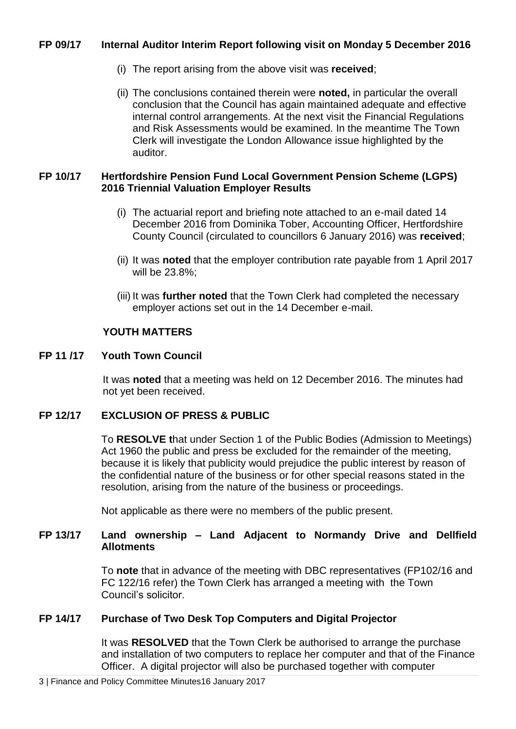## **FP 09/17 Internal Auditor Interim Report following visit on Monday 5 December 2016**

- (i) The report arising from the above visit was **received**;
- (ii) The conclusions contained therein were **noted,** in particular the overall conclusion that the Council has again maintained adequate and effective internal control arrangements. At the next visit the Financial Regulations and Risk Assessments would be examined. In the meantime The Town Clerk will investigate the London Allowance issue highlighted by the auditor.

## **FP 10/17 Hertfordshire Pension Fund Local Government Pension Scheme (LGPS) 2016 Triennial Valuation Employer Results**

- (i) The actuarial report and briefing note attached to an e-mail dated 14 December 2016 from Dominika Tober, Accounting Officer, Hertfordshire County Council (circulated to councillors 6 January 2016) was **received**;
- (ii) It was **noted** that the employer contribution rate payable from 1 April 2017 will be 23.8%;
- (iii) It was **further noted** that the Town Clerk had completed the necessary employer actions set out in the 14 December e-mail.

## **YOUTH MATTERS**

#### **FP 11 /17 Youth Town Council**

It was **noted** that a meeting was held on 12 December 2016. The minutes had not yet been received.

## **FP 12/17 EXCLUSION OF PRESS & PUBLIC**

To **RESOLVE t**hat under Section 1 of the Public Bodies (Admission to Meetings) Act 1960 the public and press be excluded for the remainder of the meeting, because it is likely that publicity would prejudice the public interest by reason of the confidential nature of the business or for other special reasons stated in the resolution, arising from the nature of the business or proceedings.

Not applicable as there were no members of the public present.

## **FP 13/17 Land ownership – Land Adjacent to Normandy Drive and Dellfield Allotments**

To **note** that in advance of the meeting with DBC representatives (FP102/16 and FC 122/16 refer) the Town Clerk has arranged a meeting with the Town Council's solicitor.

## **FP 14/17 Purchase of Two Desk Top Computers and Digital Projector**

It was **RESOLVED** that the Town Clerk be authorised to arrange the purchase and installation of two computers to replace her computer and that of the Finance Officer. A digital projector will also be purchased together with computer